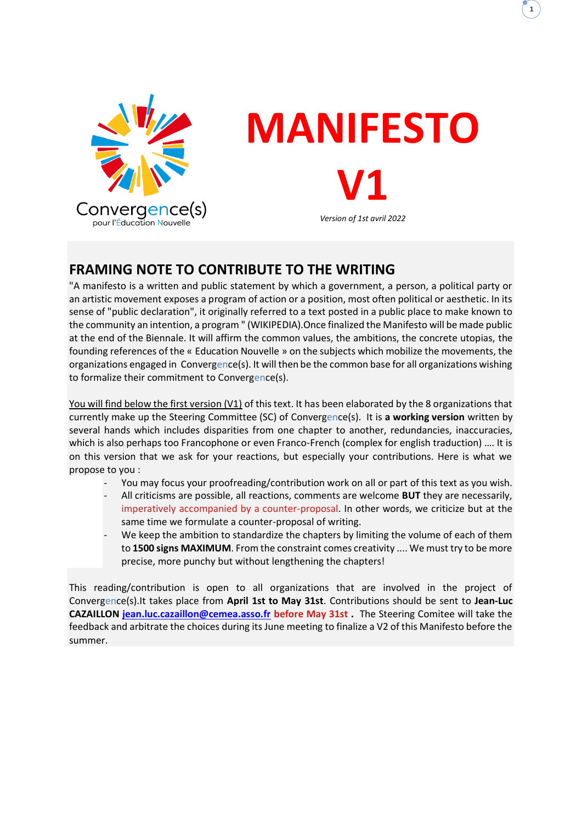

# **MANIFESTO V1**

**1**

#### *Version of 1st avril 2022*

# **FRAMING NOTE TO CONTRIBUTE TO THE WRITING**

"A manifesto is a written and public statement by which a government, a person, a political party or an artistic movement exposes a program of action or a position, most often political or aesthetic. In its sense of "public declaration", it originally referred to a text posted in a public place to make known to the community an intention, a program " (WIKIPEDIA).Once finalized the Manifesto will be made public at the end of the Biennale. It will affirm the common values, the ambitions, the concrete utopias, the founding references of the « Education Nouvelle » on the subjects which mobilize the movements, the organizations engaged in Convergence(s). It will then be the common base for all organizations wishing to formalize their commitment to Convergence(s).

You will find below the first version (V1) of this text. It has been elaborated by the 8 organizations that currently make up the Steering Committee (SC) of Convergence(s). It is **a working version** written by several hands which includes disparities from one chapter to another, redundancies, inaccuracies, which is also perhaps too Francophone or even Franco-French (complex for english traduction) .... It is on this version that we ask for your reactions, but especially your contributions. Here is what we propose to you :

- You may focus your proofreading/contribution work on all or part of this text as you wish.
- All criticisms are possible, all reactions, comments are welcome **BUT** they are necessarily, imperatively accompanied by a counter-proposal. In other words, we criticize but at the same time we formulate a counter-proposal of writing.
- We keep the ambition to standardize the chapters by limiting the volume of each of them to **1500 signs MAXIMUM**. From the constraint comes creativity .... We must try to be more precise, more punchy but without lengthening the chapters!

This reading/contribution is open to all organizations that are involved in the project of Convergence(s).It takes place from **April 1st to May 31st**. Contributions should be sent to **Jean-Luc CAZAILLON [jean.luc.cazaillon@cemea.asso.fr](mailto:jean.luc.cazaillon@cemea.asso.fr) before May 31st .** The Steering Comitee will take the feedback and arbitrate the choices during its June meeting to finalize a V2 of this Manifesto before the summer.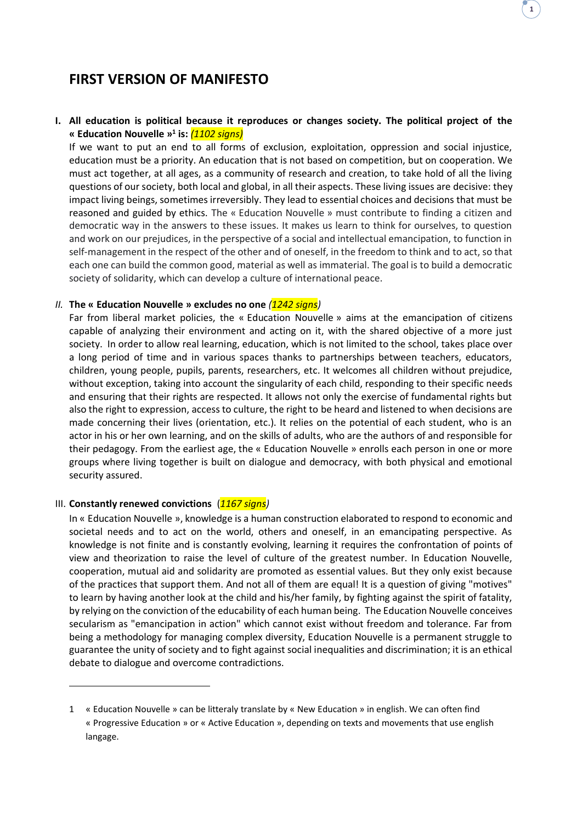# **FIRST VERSION OF MANIFESTO**

# **I. All education is political because it reproduces or changes society. The political project of the « Education Nouvelle » 1 is:** *(1102 signs)*

If we want to put an end to all forms of exclusion, exploitation, oppression and social injustice, education must be a priority. An education that is not based on competition, but on cooperation. We must act together, at all ages, as a community of research and creation, to take hold of all the living questions of our society, both local and global, in all their aspects. These living issues are decisive: they impact living beings, sometimes irreversibly. They lead to essential choices and decisions that must be reasoned and guided by ethics. The « Education Nouvelle » must contribute to finding a citizen and democratic way in the answers to these issues. It makes us learn to think for ourselves, to question and work on our prejudices, in the perspective of a social and intellectual emancipation, to function in self-management in the respect of the other and of oneself, in the freedom to think and to act, so that each one can build the common good, material as well as immaterial. The goal is to build a democratic society of solidarity, which can develop a culture of international peace.

# *II.* **The « Education Nouvelle » excludes no one** *(1242 signs)*

Far from liberal market policies, the « Education Nouvelle » aims at the emancipation of citizens capable of analyzing their environment and acting on it, with the shared objective of a more just society. In order to allow real learning, education, which is not limited to the school, takes place over a long period of time and in various spaces thanks to partnerships between teachers, educators, children, young people, pupils, parents, researchers, etc. It welcomes all children without prejudice, without exception, taking into account the singularity of each child, responding to their specific needs and ensuring that their rights are respected. It allows not only the exercise of fundamental rights but also the right to expression, access to culture, the right to be heard and listened to when decisions are made concerning their lives (orientation, etc.). It relies on the potential of each student, who is an actor in his or her own learning, and on the skills of adults, who are the authors of and responsible for their pedagogy. From the earliest age, the « Education Nouvelle » enrolls each person in one or more groups where living together is built on dialogue and democracy, with both physical and emotional security assured.

#### III. **Constantly renewed convictions** (*1167 signs)*

In « Education Nouvelle », knowledge is a human construction elaborated to respond to economic and societal needs and to act on the world, others and oneself, in an emancipating perspective. As knowledge is not finite and is constantly evolving, learning it requires the confrontation of points of view and theorization to raise the level of culture of the greatest number. In Education Nouvelle, cooperation, mutual aid and solidarity are promoted as essential values. But they only exist because of the practices that support them. And not all of them are equal! It is a question of giving "motives" to learn by having another look at the child and his/her family, by fighting against the spirit of fatality, by relying on the conviction of the educability of each human being. The Education Nouvelle conceives secularism as "emancipation in action" which cannot exist without freedom and tolerance. Far from being a methodology for managing complex diversity, Education Nouvelle is a permanent struggle to guarantee the unity of society and to fight against social inequalities and discrimination; it is an ethical debate to dialogue and overcome contradictions.

**1**

<sup>1</sup> « Education Nouvelle » can be litteraly translate by « New Education » in english. We can often find « Progressive Education » or « Active Education », depending on texts and movements that use english langage.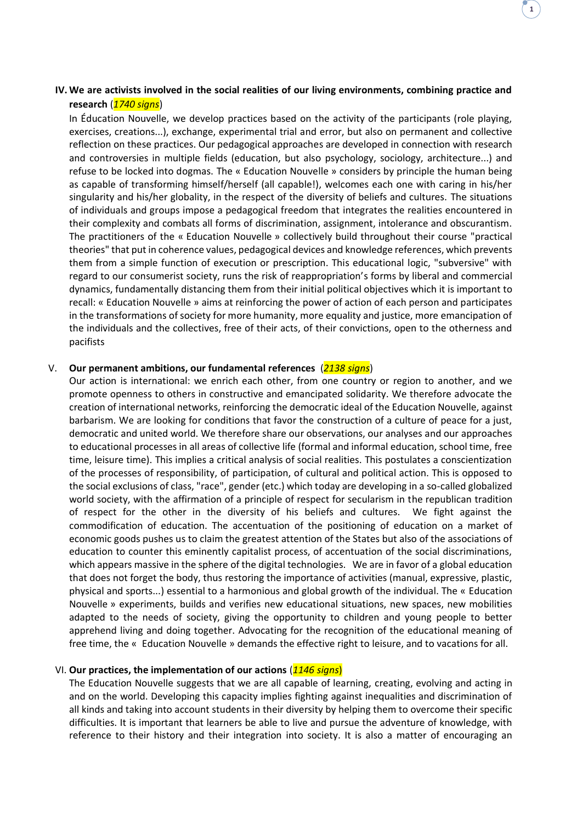# **IV. We are activists involved in the social realities of our living environments, combining practice and research** (*1740 signs*)

**1**

In Éducation Nouvelle, we develop practices based on the activity of the participants (role playing, exercises, creations...), exchange, experimental trial and error, but also on permanent and collective reflection on these practices. Our pedagogical approaches are developed in connection with research and controversies in multiple fields (education, but also psychology, sociology, architecture...) and refuse to be locked into dogmas. The « Education Nouvelle » considers by principle the human being as capable of transforming himself/herself (all capable!), welcomes each one with caring in his/her singularity and his/her globality, in the respect of the diversity of beliefs and cultures. The situations of individuals and groups impose a pedagogical freedom that integrates the realities encountered in their complexity and combats all forms of discrimination, assignment, intolerance and obscurantism. The practitioners of the « Education Nouvelle » collectively build throughout their course "practical theories" that put in coherence values, pedagogical devices and knowledge references, which prevents them from a simple function of execution or prescription. This educational logic, "subversive" with regard to our consumerist society, runs the risk of reappropriation's forms by liberal and commercial dynamics, fundamentally distancing them from their initial political objectives which it is important to recall: « Education Nouvelle » aims at reinforcing the power of action of each person and participates in the transformations of society for more humanity, more equality and justice, more emancipation of the individuals and the collectives, free of their acts, of their convictions, open to the otherness and pacifists

# V. **Our permanent ambitions, our fundamental references** (*2138 signs*)

Our action is international: we enrich each other, from one country or region to another, and we promote openness to others in constructive and emancipated solidarity. We therefore advocate the creation of international networks, reinforcing the democratic ideal of the Education Nouvelle, against barbarism. We are looking for conditions that favor the construction of a culture of peace for a just, democratic and united world. We therefore share our observations, our analyses and our approaches to educational processes in all areas of collective life (formal and informal education, school time, free time, leisure time). This implies a critical analysis of social realities. This postulates a conscientization of the processes of responsibility, of participation, of cultural and political action. This is opposed to the social exclusions of class, "race", gender (etc.) which today are developing in a so-called globalized world society, with the affirmation of a principle of respect for secularism in the republican tradition of respect for the other in the diversity of his beliefs and cultures. We fight against the commodification of education. The accentuation of the positioning of education on a market of economic goods pushes us to claim the greatest attention of the States but also of the associations of education to counter this eminently capitalist process, of accentuation of the social discriminations, which appears massive in the sphere of the digital technologies. We are in favor of a global education that does not forget the body, thus restoring the importance of activities (manual, expressive, plastic, physical and sports...) essential to a harmonious and global growth of the individual. The « Education Nouvelle » experiments, builds and verifies new educational situations, new spaces, new mobilities adapted to the needs of society, giving the opportunity to children and young people to better apprehend living and doing together. Advocating for the recognition of the educational meaning of free time, the « Education Nouvelle » demands the effective right to leisure, and to vacations for all.

# VI. **Our practices, the implementation of our actions** (*1146 signs*)

The Education Nouvelle suggests that we are all capable of learning, creating, evolving and acting in and on the world. Developing this capacity implies fighting against inequalities and discrimination of all kinds and taking into account students in their diversity by helping them to overcome their specific difficulties. It is important that learners be able to live and pursue the adventure of knowledge, with reference to their history and their integration into society. It is also a matter of encouraging an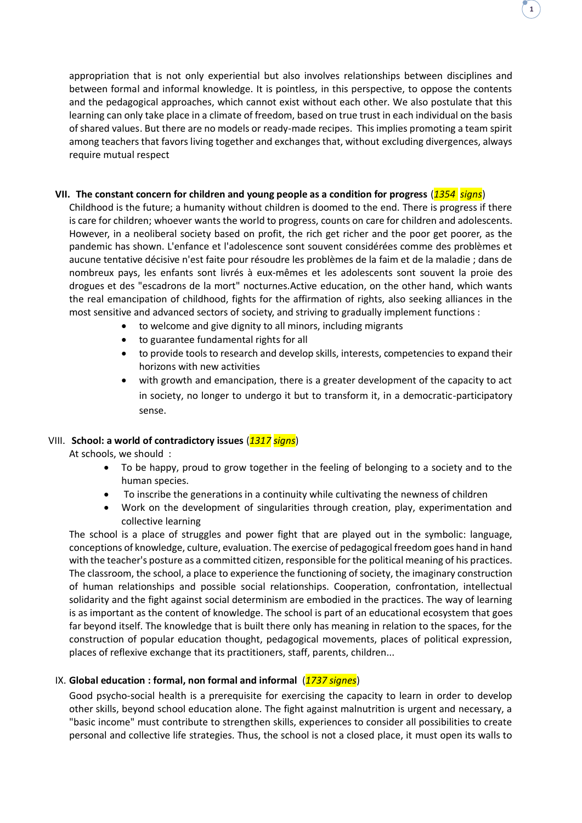appropriation that is not only experiential but also involves relationships between disciplines and between formal and informal knowledge. It is pointless, in this perspective, to oppose the contents and the pedagogical approaches, which cannot exist without each other. We also postulate that this learning can only take place in a climate of freedom, based on true trust in each individual on the basis of shared values. But there are no models or ready-made recipes. This implies promoting a team spirit among teachers that favors living together and exchanges that, without excluding divergences, always require mutual respect

**1**

# **VII. The constant concern for children and young people as a condition for progress** (*1354 signs*)

Childhood is the future; a humanity without children is doomed to the end. There is progress if there is care for children; whoever wants the world to progress, counts on care for children and adolescents. However, in a neoliberal society based on profit, the rich get richer and the poor get poorer, as the pandemic has shown. L'enfance et l'adolescence sont souvent considérées comme des problèmes et aucune tentative décisive n'est faite pour résoudre les problèmes de la faim et de la maladie ; dans de nombreux pays, les enfants sont livrés à eux-mêmes et les adolescents sont souvent la proie des drogues et des "escadrons de la mort" nocturnes.Active education, on the other hand, which wants the real emancipation of childhood, fights for the affirmation of rights, also seeking alliances in the most sensitive and advanced sectors of society, and striving to gradually implement functions :

- to welcome and give dignity to all minors, including migrants
- to guarantee fundamental rights for all
- to provide tools to research and develop skills, interests, competencies to expand their horizons with new activities
- with growth and emancipation, there is a greater development of the capacity to act in society, no longer to undergo it but to transform it, in a democratic-participatory sense.

# VIII. **School: a world of contradictory issues** (*1317 signs*)

At schools, we should :

- To be happy, proud to grow together in the feeling of belonging to a society and to the human species.
- To inscribe the generations in a continuity while cultivating the newness of children
- Work on the development of singularities through creation, play, experimentation and collective learning

The school is a place of struggles and power fight that are played out in the symbolic: language, conceptions of knowledge, culture, evaluation. The exercise of pedagogical freedom goes hand in hand with the teacher's posture as a committed citizen, responsible for the political meaning of his practices. The classroom, the school, a place to experience the functioning of society, the imaginary construction of human relationships and possible social relationships. Cooperation, confrontation, intellectual solidarity and the fight against social determinism are embodied in the practices. The way of learning is as important as the content of knowledge. The school is part of an educational ecosystem that goes far beyond itself. The knowledge that is built there only has meaning in relation to the spaces, for the construction of popular education thought, pedagogical movements, places of political expression, places of reflexive exchange that its practitioners, staff, parents, children...

# IX. **Global education : formal, non formal and informal** (*1737 signes*)

Good psycho-social health is a prerequisite for exercising the capacity to learn in order to develop other skills, beyond school education alone. The fight against malnutrition is urgent and necessary, a "basic income" must contribute to strengthen skills, experiences to consider all possibilities to create personal and collective life strategies. Thus, the school is not a closed place, it must open its walls to